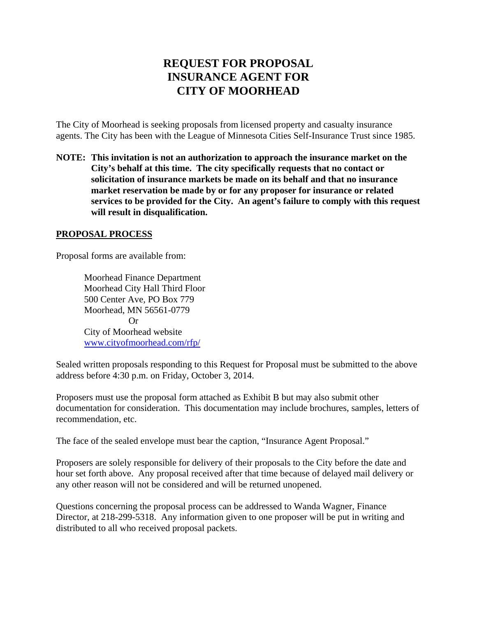## **REQUEST FOR PROPOSAL INSURANCE AGENT FOR CITY OF MOORHEAD**

The City of Moorhead is seeking proposals from licensed property and casualty insurance agents. The City has been with the League of Minnesota Cities Self-Insurance Trust since 1985.

**NOTE: This invitation is not an authorization to approach the insurance market on the City's behalf at this time. The city specifically requests that no contact or solicitation of insurance markets be made on its behalf and that no insurance market reservation be made by or for any proposer for insurance or related services to be provided for the City. An agent's failure to comply with this request will result in disqualification.**

## **PROPOSAL PROCESS**

Proposal forms are available from:

Moorhead Finance Department Moorhead City Hall Third Floor 500 Center Ave, PO Box 779 Moorhead, MN 56561-0779 Or City of Moorhead website www.cityofmoorhead.com/rfp/

Sealed written proposals responding to this Request for Proposal must be submitted to the above address before 4:30 p.m. on Friday, October 3, 2014.

Proposers must use the proposal form attached as Exhibit B but may also submit other documentation for consideration. This documentation may include brochures, samples, letters of recommendation, etc.

The face of the sealed envelope must bear the caption, "Insurance Agent Proposal."

Proposers are solely responsible for delivery of their proposals to the City before the date and hour set forth above. Any proposal received after that time because of delayed mail delivery or any other reason will not be considered and will be returned unopened.

Questions concerning the proposal process can be addressed to Wanda Wagner, Finance Director, at 218-299-5318. Any information given to one proposer will be put in writing and distributed to all who received proposal packets.